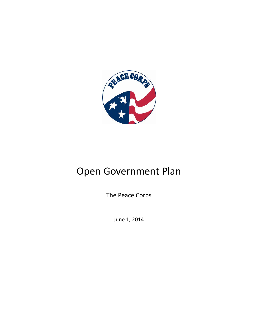

# Open Government Plan

The Peace Corps

June 1, 2014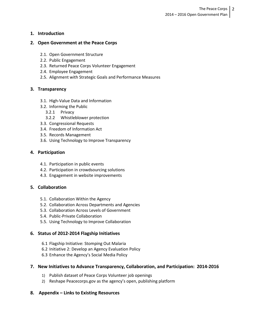### **1. Introduction**

#### **2. Open Government at the Peace Corps**

- 2.1. Open Government Structure
- 2.2. Public Engagement
- 2.3. Returned Peace Corps Volunteer Engagement
- 2.4. Employee Engagement
- 2.5. Alignment with Strategic Goals and Performance Measures

#### **3. Transparency**

- 3.1. High-Value Data and Information
- 3.2. Informing the Public
	- 3.2.1 Privacy
	- 3.2.2 Whistleblower protection
- 3.3. Congressional Requests
- 3.4. Freedom of Information Act
- 3.5. Records Management
- 3.6. Using Technology to Improve Transparency

#### **4. Participation**

- 4.1. Participation in public events
- 4.2. Participation in crowdsourcing solutions
- 4.3. Engagement in website improvements

### **5. Collaboration**

- 5.1. Collaboration Within the Agency
- 5.2. Collaboration Across Departments and Agencies
- 5.3. Collaboration Across Levels of Government
- 5.4. Public-Private Collaboration
- 5.5. Using Technology to Improve Collaboration

### **6. Status of 2012-2014 Flagship Initiatives**

- 6.1 Flagship Initiative: Stomping Out Malaria
- 6.2 Initiative 2: Develop an Agency Evaluation Policy
- 6.3 Enhance the Agency's Social Media Policy

### **7. New Initiatives to Advance Transparency, Collaboration, and Participation: 2014-2016**

- 1) Publish dataset of Peace Corps Volunteer job openings
- 2) Reshape Peacecorps.gov as the agency's open, publishing platform

### **8. Appendix – Links to Existing Resources**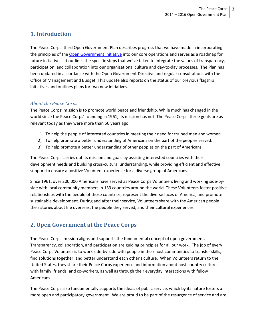# **1. Introduction**

The Peace Corps' third Open Government Plan describes progress that we have made in incorporating the principles of the [Open Government Initiative](http://www.whitehouse.gov/open) into our core operations and serves as a roadmap for future initiatives. It outlines the specific steps that we've taken to integrate the values of transparency, participation, and collaboration into our organizational culture and day-to-day processes. The Plan has been updated in accordance with the Open Government Directive and regular consultations with the Office of Management and Budget. This update also reports on the status of our previous flagship initiatives and outlines plans for two new initiatives.

### *About the Peace Corps*

The Peace Corps' mission is to promote world peace and friendship. While much has changed in the world since the Peace Corps' founding in 1961, its mission has not. The Peace Corps' three goals are as relevant today as they were more than 50 years ago:

- 1) To help the people of interested countries in meeting their need for trained men and women.
- 2) To help promote a better understanding of Americans on the part of the peoples served.
- 3) To help promote a better understanding of other peoples on the part of Americans.

The Peace Corps carries out its mission and goals by assisting interested countries with their development needs and building cross-cultural understanding, while providing efficient and effective support to ensure a positive Volunteer experience for a diverse group of Americans.

Since 1961, over 200,000 Americans have served as Peace Corps Volunteers living and working side-byside with local community members in 139 countries around the world. These Volunteers foster positive relationships with the people of those countries, represent the diverse faces of America, and promote sustainable development. During and after their service, Volunteers share with the American people their stories about life overseas, the people they served, and their cultural experiences.

# **2. Open Government at the Peace Corps**

The Peace Corps' mission aligns and supports the fundamental concept of open government. Transparency, collaboration, and participation are guiding principles for all our work. The job of every Peace Corps Volunteer is to work side-by-side with people in their host communities to transfer skills, find solutions together, and better understand each other's culture. When Volunteers return to the United States, they share their Peace Corps experience and information about host country cultures with family, friends, and co-workers, as well as through their everyday interactions with fellow Americans.

The Peace Corps also fundamentally supports the ideals of public service, which by its nature fosters a more open and participatory government. We are proud to be part of the resurgence of service and are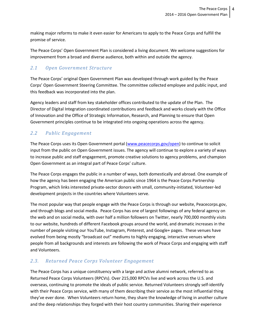making major reforms to make it even easier for Americans to apply to the Peace Corps and fulfill the promise of service.

The Peace Corps' Open Government Plan is considered a living document. We welcome suggestions for improvement from a broad and diverse audience, both within and outside the agency.

# *2.1 Open Government Structure*

The Peace Corps' original Open Government Plan was developed through work guided by the Peace Corps' Open Government Steering Committee. The committee collected employee and public input, and this feedback was incorporated into the plan.

Agency leaders and staff from key stakeholder offices contributed to the update of the Plan. The Director of Digital Integration coordinated contributions and feedback and works closely with the Office of Innovation and the Office of Strategic Information, Research, and Planning to ensure that Open Government principles continue to be integrated into ongoing operations across the agency.

# *2.2 Public Engagement*

The Peace Corps uses its Open Government portal [\(www.peacecorps.gov/open\)](http://www.peacecorps.gov/open) to continue to solicit input from the public on Open Government issues. The agency will continue to explore a variety of ways to increase public and staff engagement, promote creative solutions to agency problems, and champion Open Government as an integral part of Peace Corps' culture.

The Peace Corps engages the public in a number of ways, both domestically and abroad. One example of how the agency has been engaging the American public since 1964 is the Peace Corps Partnership Program, which links interested private-sector donors with small, community-initiated, Volunteer-led development projects in the countries where Volunteers serve.

The most popular way that people engage with the Peace Corps is through our website, Peacecorps.gov, and through blogs and social media. Peace Corps has one of largest followings of any federal agency on the web and on social media, with over half a million followers on Twitter, nearly 700,000 monthly visits to our website, hundreds of different Facebook groups around the world, and dramatic increases in the number of people visiting our YouTube, Instagram, Pinterest, and Google+ pages. These venues have evolved from being mostly "broadcast out" mediums to highly engaging, interactive venues where people from all backgrounds and interests are following the work of Peace Corps and engaging with staff and Volunteers.

# *2.3. Returned Peace Corps Volunteer Engagement*

The Peace Corps has a unique constituency with a large and active alumni network, referred to as Returned Peace Corps Volunteers (RPCVs). Over 215,000 RPCVs live and work across the U.S. and overseas, continuing to promote the ideals of public service. Returned Volunteers strongly self-identify with their Peace Corps service, with many of them describing their service as the most influential thing they've ever done. When Volunteers return home, they share the knowledge of living in another culture and the deep relationships they forged with their host country communities. Sharing their experience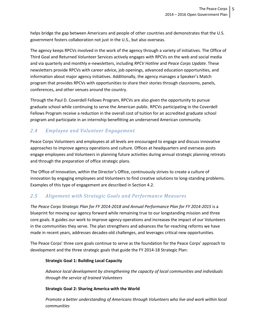helps bridge the gap between Americans and people of other countries and demonstrates that the U.S. government fosters collaboration not just in the U.S., but also overseas.

The agency keeps RPCVs involved in the work of the agency through a variety of initiatives. The Office of Third Goal and Returned Volunteer Services actively engages with RPCVs on the web and social media and via quarterly and monthly e-newsletters, including *RPCV Hotline* and *Peace Corps Update*. These newsletters provide RPCVs with career advice, job openings, advanced education opportunities, and information about major agency initiatives. Additionally, the agency manages a Speaker's Match program that provides RPCVs with opportunities to share their stories through classrooms, panels, conferences, and other venues around the country.

Through the Paul D. Coverdell Fellows Program, RPCVs are also given the opportunity to pursue graduate school while continuing to serve the American public. RPCVs participating in the Coverdell Fellows Program receive a reduction in the overall cost of tuition for an accredited graduate school program and participate in an internship benefitting an underserved American community.

# *2.4 Employee and Volunteer Engagement*

Peace Corps Volunteers and employees at all levels are encouraged to engage and discuss innovative approaches to improve agency operations and culture. Offices at headquarters and overseas posts engage employees and Volunteers in planning future activities during annual strategic planning retreats and through the preparation of office strategic plans.

The Office of Innovation, within the Director's Office, continuously strives to create a culture of innovation by engaging employees and Volunteers to find creative solutions to long-standing problems. Examples of this type of engagement are described in Section 4.2.

# *2.5 Alignment with Strategic Goals and Performance Measures*

*The Peace Corps Strategic Plan for FY 2014-2018 and Annual Performance Plan for FY 2014-2015* is a blueprint for moving our agency forward while remaining true to our longstanding mission and three core goals. It guides our work to improve agency operations and increases the impact of our Volunteers in the communities they serve. The plan strengthens and advances the far-reaching reforms we have made in recent years, addresses decades-old challenges, and leverages critical new opportunities.

The Peace Corps' three core goals continue to serve as the foundation for the Peace Corps' approach to development and the three strategic goals that guide the FY 2014-18 Strategic Plan:

### **Strategic Goal 1: Building Local Capacity**

*Advance local development by strengthening the capacity of local communities and individuals through the service of trained Volunteers*

## **Strategic Goal 2: Sharing America with the World**

*Promote a better understanding of Americans through Volunteers who live and work within local communities*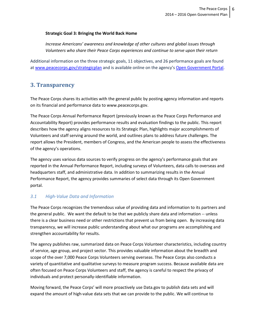#### **Strategic Goal 3: Bringing the World Back Home**

*Increase Americans' awareness and knowledge of other cultures and global issues through Volunteers who share their Peace Corps experiences and continue to serve upon their return*

Additional information on the three strategic goals, 11 objectives, and 26 performance goals are found at [www.peacecorps.gov/strategicplan](http://www.peacecorps.gov/strategicplan) and is available online on the agency'[s Open Government Portal.](http://www.peacecorps.gov/about/open/)

# **3. Transparency**

The Peace Corps shares its activities with the general public by posting agency information and reports on its financial and performance data to www.peacecorps.gov.

The Peace Corps Annual Performance Report (previously known as the Peace Corps Performance and Accountability Report) provides performance results and evaluation findings to the public. This report describes how the agency aligns resources to its Strategic Plan, highlights major accomplishments of Volunteers and staff serving around the world, and outlines plans to address future challenges. The report allows the President, members of Congress, and the American people to assess the effectiveness of the agency's operations.

The agency uses various data sources to verify progress on the agency's performance goals that are reported in the Annual Performance Report, including surveys of Volunteers, data calls to overseas and headquarters staff, and administrative data. In addition to summarizing results in the Annual Performance Report, the agency provides summaries of select data through its Open Government portal.

## *3.1 High-Value Data and Information*

The Peace Corps recognizes the tremendous value of providing data and information to its partners and the general public. We want the default to be that we publicly share data and information -- unless there is a clear business need or other restrictions that prevent us from being open. By increasing data transparency, we will increase public understanding about what our programs are accomplishing and strengthen accountability for results.

The agency publishes raw, summarized data on Peace Corps Volunteer characteristics, including country of service, age group, and project sector. This provides valuable information about the breadth and scope of the over 7,000 Peace Corps Volunteers serving overseas. The Peace Corps also conducts a variety of quantitative and qualitative surveys to measure program success. Because available data are often focused on Peace Corps Volunteers and staff, the agency is careful to respect the privacy of individuals and protect personally-identifiable information.

Moving forward, the Peace Corps' will more proactively use Data.gov to publish data sets and will expand the amount of high-value data sets that we can provide to the public. We will continue to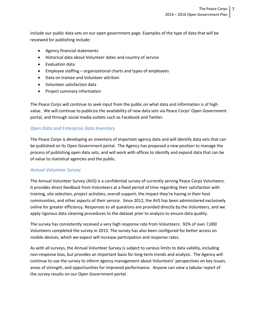include our public data sets on our open government page. Examples of the type of data that will be reviewed for publishing include:

- Agency financial statements
- Historical data about Volunteer dates and country of service
- Evaluation data
- Employee staffing organizational charts and types of employees
- Data on trainee and Volunteer attrition
- Volunteer satisfaction data
- Project summary information

The Peace Corps will continue to seek input from the public on what data and information is of high value. We will continue to publicize the availability of new data sets via Peace Corps' Open Government portal, and through social media outlets such as Facebook and Twitter.

### *Open Data and Enterprise Data Inventory*

The Peace Corps is developing an inventory of important agency data and will identify data sets that can be published on its Open Government portal. The Agency has proposed a new position to manage the process of publishing open data sets, and will work with offices to identify and expand data that can be of value to statistical agencies and the public.

#### *Annual Volunteer Survey*

The Annual Volunteer Survey (AVS) is a confidential survey of currently serving Peace Corps Volunteers. It provides direct feedback from Volunteers at a fixed period of time regarding their satisfaction with training, site selection, project activities, overall support, the impact they're having in their host communities, and other aspects of their service. Since 2012, the AVS has been administered exclusively online for greater efficiency. Responses to all questions are provided directly by the Volunteers, and we apply rigorous data cleaning procedures to the dataset prior to analysis to ensure data quality.

The survey has consistently received a very high response rate from Volunteers: 92% of over 7,000 Volunteers completed the survey in 2013. The survey has also been configured for better access on mobile devices, which we expect will increase participation and response rates.

As with all surveys, the Annual Volunteer Survey is subject to various limits to data validity, including non-response bias, but provides an important basis for long-term trends and analysis. The Agency will continue to use the survey to inform agency management about Volunteers' perspectives on key issues, areas of strength, and opportunities for improved performance. Anyone can view a tabular report of the survey results on our Open Government portal.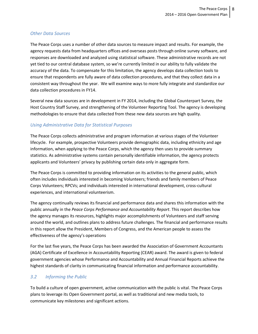### *Other Data Sources*

The Peace Corps uses a number of other data sources to measure impact and results. For example, the agency requests data from headquarters offices and overseas posts through online survey software, and responses are downloaded and analyzed using statistical software. These administrative records are not yet tied to our central database system, so we're currently limited in our ability to fully validate the accuracy of the data. To compensate for this limitation, the agency develops data collection tools to ensure that respondents are fully aware of data collection procedures, and that they collect data in a consistent way throughout the year. We will examine ways to more fully integrate and standardize our data collection procedures in FY14.

Several new data sources are in development in FY 2014, including the Global Counterpart Survey, the Host Country Staff Survey, and strengthening of the Volunteer Reporting Tool. The agency is developing methodologies to ensure that data collected from these new data sources are high quality.

### *Using Administrative Data for Statistical Purposes*

The Peace Corps collects administrative and program information at various stages of the Volunteer lifecycle. For example, prospective Volunteers provide demographic data, including ethnicity and age information, when applying to the Peace Corps, which the agency then uses to provide summary statistics. As administrative systems contain personally identifiable information, the agency protects applicants and Volunteers' privacy by publishing certain data only in aggregate form.

The Peace Corps is committed to providing information on its activities to the general public, which often includes individuals interested in becoming Volunteers; friends and family members of Peace Corps Volunteers; RPCVs; and individuals interested in international development, cross-cultural experiences, and international volunteerism.

The agency continually reviews its financial and performance data and shares this information with the public annually in the *Peace Corps Performance and Accountability Report*. This report describes how the agency manages its resources, highlights major accomplishments of Volunteers and staff serving around the world, and outlines plans to address future challenges. The financial and performance results in this report allow the President, Members of Congress, and the American people to assess the effectiveness of the agency's operations

For the last five years, the Peace Corps has been awarded the Association of Government Accountants (AGA) Certificate of Excellence in Accountability Reporting (CEAR) award. The award is given to federal government agencies whose Performance and Accountability and Annual Financial Reports achieve the highest standards of clarity in communicating financial information and performance accountability.

# *3.2 Informing the Public*

To build a culture of open government, active communication with the public is vital. The Peace Corps plans to leverage its Open Government portal, as well as traditional and new media tools, to communicate key milestones and significant actions.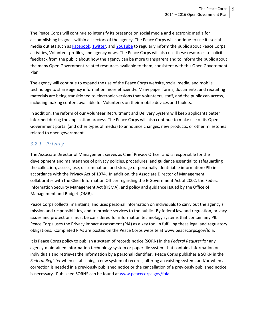The Peace Corps will continue to intensify its presence on social media and electronic media for accomplishing its goals within all sectors of the agency. The Peace Corps will continue to use its social media outlets such as **Facebook**, [Twitter,](http://twitter.com/peacecorps) and [YouTube](http://www.youtube.com/peacecorps) to regularly inform the public about Peace Corps activities, Volunteer profiles, and agency news. The Peace Corps will also use these resources to solicit feedback from the public about how the agency can be more transparent and to inform the public about the many Open Government-related resources available to them, consistent with this Open Government Plan.

The agency will continue to expand the use of the Peace Corps website, social media, and mobile technology to share agency information more efficiently. Many paper forms, documents, and recruiting materials are being transitioned to electronic versions that Volunteers, staff, and the public can access, including making content available for Volunteers on their mobile devices and tablets.

In addition, the reform of our Volunteer Recruitment and Delivery System will keep applicants better informed during the application process. The Peace Corps will also continue to make use of its Open Government portal (and other types of media) to announce changes, new products, or other milestones related to open government.

## *3.2.1 Privacy*

The Associate Director of Management serves as Chief Privacy Officer and is responsible for the development and maintenance of privacy policies, procedures, and guidance essential to safeguarding the collection, access, use, dissemination, and storage of personally identifiable information (PII) in accordance with the Privacy Act of 1974. In addition, the Associate Director of Management collaborates with the Chief Information Officer regarding the E-Government Act of 2002, the Federal Information Security Management Act (FISMA), and policy and guidance issued by the Office of Management and Budget (OMB).

Peace Corps collects, maintains, and uses personal information on individuals to carry out the agency's mission and responsibilities, and to provide services to the public. By federal law and regulation, privacy issues and protections must be considered for information technology systems that contain any PII. Peace Corps uses the Privacy Impact Assessment (PIA) as a key tool in fulfilling these legal and regulatory obligations. Completed PIAs are posted on the Peace Corps website at www.peacecorps.gov/foia.

It is Peace Corps policy to publish a system of records notice (SORN) in the *Federal Register* for any agency-maintained information technology system or paper file system that contains information on individuals and retrieves the information by a personal identifier. Peace Corps publishes a SORN in the *Federal Register* when establishing a new system of records, altering an existing system, and/or when a correction is needed in a previously published notice or the cancellation of a previously published notice is necessary. Published SORNS can be found a[t www.peacecorps.gov/foia.](http://www.peacecorps.gov/foia)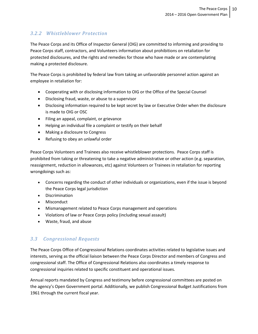# *3.2.2 Whistleblower Protection*

The Peace Corps and its Office of Inspector General (OIG) are committed to informing and providing to Peace Corps staff, contractors, and Volunteers information about prohibitions on retaliation for protected disclosures, and the rights and remedies for those who have made or are contemplating making a protected disclosure.

The Peace Corps is prohibited by federal law from taking an unfavorable personnel action against an employee in retaliation for:

- Cooperating with or disclosing information to OIG or the Office of the Special Counsel
- Disclosing fraud, waste, or abuse to a supervisor
- Disclosing information required to be kept secret by law or Executive Order when the disclosure is made to OIG or OSC
- Filing an appeal, complaint, or grievance
- Helping an individual file a complaint or testify on their behalf
- Making a disclosure to Congress
- Refusing to obey an unlawful order

Peace Corps Volunteers and Trainees also receive whistleblower protections. Peace Corps staff is prohibited from taking or threatening to take a negative administrative or other action (e.g. separation, reassignment, reduction in allowances, etc) against Volunteers or Trainees in retaliation for reporting wrongdoings such as:

- Concerns regarding the conduct of other individuals or organizations, even if the issue is beyond the Peace Corps legal jurisdiction
- Discrimination
- Misconduct
- Mismanagement related to Peace Corps management and operations
- Violations of law or Peace Corps policy (including sexual assault)
- Waste, fraud, and abuse

# *3.3 Congressional Requests*

The Peace Corps Office of Congressional Relations coordinates activities related to legislative issues and interests, serving as the official liaison between the Peace Corps Director and members of Congress and congressional staff. The Office of Congressional Relations also coordinates a timely response to congressional inquiries related to specific constituent and operational issues.

Annual reports mandated by Congress and testimony before congressional committees are posted on the agency's Open Government portal. Additionally, we publish Congressional Budget Justifications from 1961 through the current fiscal year.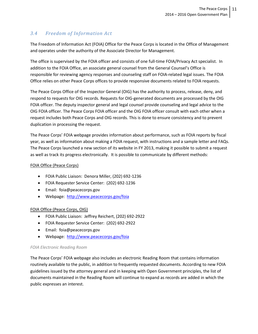# *3.4 Freedom of Information Act*

The Freedom of Information Act (FOIA) Office for the Peace Corps is located in the Office of Management and operates under the authority of the Associate Director for Management.

The office is supervised by the FOIA officer and consists of one full-time FOIA/Privacy Act specialist. In addition to the FOIA Office, an associate general counsel from the General Counsel's Office is responsible for reviewing agency responses and counseling staff on FOIA-related legal issues. The FOIA Office relies on other Peace Corps offices to provide responsive documents related to FOIA requests.

The Peace Corps Office of the Inspector General (OIG) has the authority to process, release, deny, and respond to requests for OIG records. Requests for OIG-generated documents are processed by the OIG FOIA officer. The deputy inspector general and legal counsel provide counseling and legal advice to the OIG FOIA officer. The Peace Corps FOIA officer and the OIG FOIA officer consult with each other when a request includes both Peace Corps and OIG records. This is done to ensure consistency and to prevent duplication in processing the request.

The Peace Corps' FOIA webpage provides information about performance, such as FOIA reports by fiscal year, as well as information about making a FOIA request, with instructions and a sample letter and FAQs. The Peace Corps launched a new section of its website in FY 2013, making it possible to submit a request as well as track its progress electronically. It is possible to communicate by different methods:

#### FOIA Office (Peace Corps)

- FOIA Public Liaison: Denora Miller, (202) 692-1236
- FOIA Requester Service Center: (202) 692-1236
- Email: foia@peacecorps.gov
- Webpage:<http://www.peacecorps.gov/foia>

### FOIA Office (Peace Corps, OIG)

- FOIA Public Liaison: Jeffrey Reichert, (202) 692-2922
- FOIA Requester Service Center: (202) 692-2922
- Email: foia@peacecorps.gov
- Webpage:<http://www.peacecorps.gov/foia>

### *FOIA Electronic Reading Room*

The Peace Corps' FOIA webpage also includes an electronic Reading Room that contains information routinely available to the public, in addition to frequently requested documents. According to new FOIA guidelines issued by the attorney general and in keeping with Open Government principles, the list of documents maintained in the Reading Room will continue to expand as records are added in which the public expresses an interest.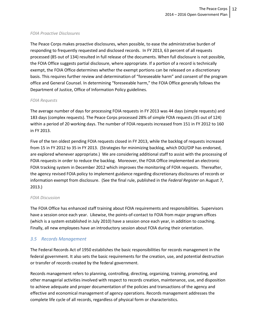#### *FOIA Proactive Disclosures*

The Peace Corps makes proactive disclosures, when possible, to ease the administrative burden of responding to frequently requested and disclosed records. In FY 2013, 63 percent of all requests processed (85 out of 134) resulted in full release of the documents. When full disclosure is not possible, the FOIA Office suggests partial disclosure, where appropriate. If a portion of a record is technically exempt, the FOIA Office determines whether the exempt portions can be released on a discretionary basis. This requires further review and determination of "foreseeable harm" and consent of the program office and General Counsel. In determining "foreseeable harm," the FOIA Office generally follows the Department of Justice, Office of Information Policy guidelines.

#### *FOIA Requests*

The average number of days for processing FOIA requests in FY 2013 was 44 days (simple requests) and 183 days (complex requests). The Peace Corps processed 28% of simple FOIA requests (35 out of 124) within a period of 20 working days. The number of FOIA requests increased from 151 in FY 2012 to 160 in FY 2013.

Five of the ten oldest pending FOIA requests closed in FY 2013, while the backlog of requests increased from 15 in FY 2012 to 35 in FY 2013. (Strategies for minimizing backlog, which DOJ/OIP has endorsed, are explored whenever appropriate.) We are considering additional staff to assist with the processing of FOIA requests in order to reduce the backlog. Moreover, the FOIA Office implemented an electronic FOIA tracking system in December 2012 which improves the monitoring of FOIA requests. Thereafter, the agency revised FOIA policy to implement guidance regarding discretionary disclosures of records or information exempt from disclosure. (See the final rule, published in the *Federal Register* on August 7, 2013.)

#### *FOIA Discussion*

The FOIA Office has enhanced staff training about FOIA requirements and responsibilities. Supervisors have a session once each year. Likewise, the points-of-contact to FOIA from major program offices (which is a system established in July 2010) have a session once each year, in addition to coaching. Finally, all new employees have an introductory session about FOIA during their orientation.

### *3.5 Records Management*

The Federal Records Act of 1950 establishes the basic responsibilities for records management in the federal government. It also sets the basic requirements for the creation, use, and potential destruction or transfer of records created by the federal government.

Records management refers to planning, controlling, directing, organizing, training, promoting, and other managerial activities involved with respect to records creation, maintenance, use, and disposition to achieve adequate and proper documentation of the policies and transactions of the agency and effective and economical management of agency operations. Records management addresses the complete life cycle of all records, regardless of physical form or characteristics.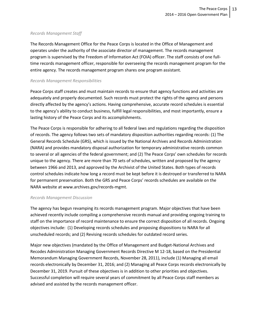#### *Records Management Staff*

The Records Management Office for the Peace Corps is located in the Office of Management and operates under the authority of the associate director of management. The records management program is supervised by the Freedom of Information Act (FOIA) officer. The staff consists of one fulltime records management officer, responsible for overseeing the records management program for the entire agency. The records management program shares one program assistant.

#### *Records Management Responsibilities*

Peace Corps staff creates and must maintain records to ensure that agency functions and activities are adequately and properly documented. Such records must protect the rights of the agency and persons directly affected by the agency's actions. Having comprehensive, accurate record schedules is essential to the agency's ability to conduct business, fulfill legal responsibilities, and most importantly, ensure a lasting history of the Peace Corps and its accomplishments.

The Peace Corps is responsible for adhering to all federal laws and regulations regarding the disposition of records. The agency follows two sets of mandatory disposition authorities regarding records: (1) The General Records Schedule (GRS), which is issued by the National Archives and Records Administration (NARA) and provides mandatory disposal authorization for temporary administrative records common to several or all agencies of the federal government; and (2) The Peace Corps' own schedules for records unique to the agency. There are more than 70 sets of schedules, written and proposed by the agency between 1966 and 2013, and approved by the Archivist of the United States. Both types of records control schedules indicate how long a record must be kept before it is destroyed or transferred to NARA for permanent preservation. Both the GRS and Peace Corps' records schedules are available on the NARA website at www.archives.gov/records-mgmt.

#### *Records Management Discussion*

The agency has begun revamping its records management program. Major objectives that have been achieved recently include compiling a comprehensive records manual and providing ongoing training to staff on the importance of record maintenance to ensure the correct disposition of all records. Ongoing objectives include: (1) Developing records schedules and proposing dispositions to NARA for all unscheduled records; and (2) Revising records schedules for outdated record series.

Major new objectives (mandated by the Office of Management and Budget-National Archives and Recodes Administration Managing Government Records Directive M 12-18, based on the Presidential Memorandum Managing Government Records, November 28, 2011), include (1) Managing all email records electronically by December 31, 2016; and (2) Managing all Peace Corps records electronically by December 31, 2019. Pursuit of these objectives is in addition to other priorities and objectives. Successful completion will require several years of commitment by all Peace Corps staff members as advised and assisted by the records management officer.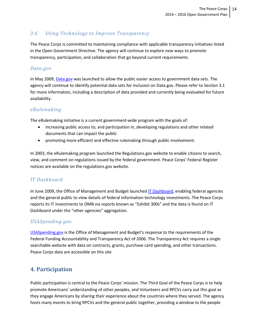# *3.6 Using Technology to Improve Transparency*

The Peace Corps is committed to maintaining compliance with applicable transparency initiatives listed in the Open Government Directive. The agency will continue to explore new ways to promote transparency, participation, and collaboration that go beyond current requirements.

### *Data.gov*

In May 2009[, Data.gov](http://www.data.gov/) was launched to allow the public easier access to government data sets. The agency will continue to identify potential data sets for inclusion on Data.gov. Please refer to Section 3.1 for more information, including a description of data provided and currently being evaluated for future availability.

## *eRulemaking*

The eRulemaking initiative is a current government-wide program with the goals of:

- increasing public access to, and participation in, developing regulations and other related documents that can impact the public
- promoting more efficient and effective rulemaking through public involvement.

In 2003, the eRulemaking program launched the Regulations.gov website to enable citizens to search, view, and comment on regulations issued by the federal government. Peace Corps' Federal Register notices are available on the regulations.gov website.

# *IT Dashboard*

In June 2009, the Office of Management and Budget launche[d IT Dashboard,](https://www.itdashboard.gov/) enabling federal agencies and the general public to view details of federal information technology investments. The Peace Corps reports its IT investments to OMB via reports known as "Exhibit 300s" and the data is found on IT Dashboard under the "other agencies" aggregation.

# *USASpending.gov*

[USASpending.gov](http://www.usaspending.gov/) is the Office of Management and Budget's response to the requirements of the Federal Funding Accountability and Transparency Act of 2006. The Transparency Act requires a single searchable website with data on contracts, grants, purchase card spending, and other transactions. Peace Corps data are accessible on this site

# **4. Participation**

Public participation is central to the Peace Corps' mission. The Third Goal of the Peace Corps is to help promote Americans' understanding of other peoples, and Volunteers and RPCVs carry out this goal as they engage Americans by sharing their experience about the countries where they served. The agency hosts many events to bring RPCVs and the general public together, providing a window to the people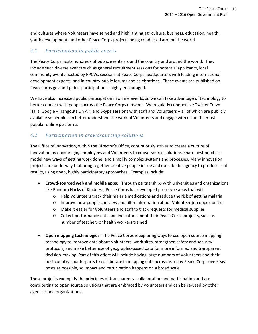and cultures where Volunteers have served and highlighting agriculture, business, education, health, youth development, and other Peace Corps projects being conducted around the world.

# *4.1 Participation in public events*

The Peace Corps hosts hundreds of public events around the country and around the world. They include such diverse events such as general recruitment sessions for potential applicants, local community events hosted by RPCVs, sessions at Peace Corps headquarters with leading international development experts, and in-country public forums and celebrations. These events are published on Peacecorps.gov and public participation is highly encouraged.

We have also increased public participation in online events, so we can take advantage of technology to better connect with people across the Peace Corps network. We regularly conduct live Twitter Town Halls, Google + Hangouts On Air, and Skype sessions with staff and Volunteers – all of which are publicly available so people can better understand the work of Volunteers and engage with us on the most popular online platforms.

# *4.2 Participation in crowdsourcing solutions*

The Office of Innovation, within the Director's Office, continuously strives to create a culture of innovation by encouraging employees and Volunteers to crowd-source solutions, share best practices, model new ways of getting work done, and simplify complex systems and processes. Many innovation projects are underway that bring together creative people inside and outside the agency to produce real results, using open, highly participatory approaches. Examples include:

- **Crowd-sourced web and mobile apps**: Through partnerships with universities and organizations like Random Hacks of Kindness, Peace Corps has developed prototype apps that will:
	- o Help Volunteers track their malaria medications and reduce the risk of getting malaria
	- o Improve how people can view and filter information about Volunteer job opportunities
	- o Make it easier for Volunteers and staff to track requests for medical supplies
	- o Collect performance data and indicators about their Peace Corps projects, such as number of teachers or health workers trained
- **Open mapping technologies**: The Peace Corps is exploring ways to use open source mapping technology to improve data about Volunteers' work sites, strengthen safety and security protocols, and make better use of geographic-based data for more informed and transparent decision-making. Part of this effort will include having large numbers of Volunteers and their host country counterparts to collaborate in mapping data across as many Peace Corps overseas posts as possible, so impact and participation happens on a broad scale.

These projects exemplify the principles of transparency, collaboration and participation and are contributing to open source solutions that are embraced by Volunteers and can be re-used by other agencies and organizations.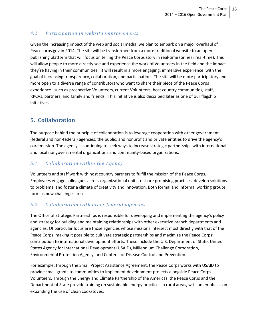# *4.2 Participation in website improvements*

Given the increasing impact of the web and social media, we plan to embark on a major overhaul of Peacecorps.gov in 2014. The site will be transformed from a more traditional website to an open publishing platform that will focus on telling the Peace Corps story in real-time (or near real-time). This will allow people to more directly see and experience the work of Volunteers in the field and the impact they're having in their communities. It will result in a more engaging, immersive experience, with the goal of increasing transparency, collaboration, and participation. The site will be more participatory and more open to a diverse range of contributors who want to share their piece of the Peace Corps experience– such as prospective Volunteers, current Volunteers, host country communities, staff, RPCVs, partners, and family and friends. This initiative is also described later as one of our flagship initiatives.

# **5. Collaboration**

The purpose behind the principle of collaboration is to leverage cooperation with other government (federal and non-federal) agencies, the public, and nonprofit and private entities to drive the agency's core mission. The agency is continuing to seek ways to increase strategic partnerships with international and local nongovernmental organizations and community-based organizations.

# *5.1 Collaboration within the Agency*

Volunteers and staff work with host country partners to fulfill the mission of the Peace Corps. Employees engage colleagues across organizational units to share promising practices, develop solutions to problems, and foster a climate of creativity and innovation. Both formal and informal working groups form as new challenges arise.

# *5.2 Collaboration with other federal agencies*

The Office of Strategic Partnerships is responsible for developing and implementing the agency's policy and strategy for building and maintaining relationships with other executive branch departments and agencies. Of particular focus are those agencies whose missions intersect most directly with that of the Peace Corps, making it possible to cultivate strategic partnerships and maximize the Peace Corps' contribution to international development efforts. These include the U.S. Department of State, United States Agency for International Development (USAID), Millennium Challenge Corporation, Environmental Protection Agency, and Centers for Disease Control and Prevention.

For example, through the Small Project Assistance Agreement, the Peace Corps works with USAID to provide small grants to communities to implement development projects alongside Peace Corps Volunteers. Through the Energy and Climate Partnership of the Americas, the Peace Corps and the Department of State provide training on sustainable energy practices in rural areas, with an emphasis on expanding the use of clean cookstoves.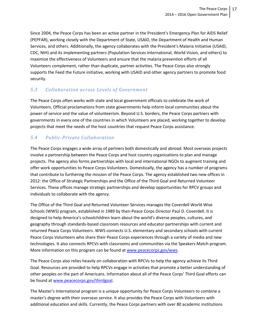Since 2004, the Peace Corps has been an active partner in the President's Emergency Plan for AIDS Relief (PEPFAR), working closely with the Department of State, USAID, the Department of Health and Human Services, and others. Additionally, the agency collaborates with the President's Malaria Initiative (USAID, CDC, NIH) and its implementing partners (Population Services International, World Vision, and others) to maximize the effectiveness of Volunteers and ensure that the malaria prevention efforts of all Volunteers complement, rather than duplicate, partner activities. The Peace Corps also strongly supports the Feed the Future initiative, working with USAID and other agency partners to promote food security.

# *5.3 Collaboration across Levels of Government*

The Peace Corps often works with state and local government officials to celebrate the work of Volunteers. Official proclamations from state governments help inform local communities about the power of service and the value of volunteerism. Beyond U.S. borders, the Peace Corps partners with governments in every one of the countries in which Volunteers are placed, working together to develop projects that meet the needs of the host countries that request Peace Corps assistance.

# *5.4 Public-Private Collaboration*

The Peace Corps engages a wide array of partners both domestically and abroad. Most overseas projects involve a partnership between the Peace Corps and host country organizations to plan and manage projects. The agency also forms partnerships with local and international NGOs to augment training and offer work opportunities to Peace Corps Volunteers. Domestically, the agency has a number of programs that contribute to furthering the mission of the Peace Corps. The agency established two new offices in 2012: the Office of Strategic Partnerships and the Office of the Third Goal and Returned Volunteer Services. These offices manage strategic partnerships and develop opportunities for RPCV groups and individuals to collaborate with the agency.

The Office of the Third Goal and Returned Volunteer Services manages the Coverdell World Wise Schools (WWS) program, established in 1989 by then-Peace Corps Director Paul D. Coverdell. It is designed to help America's schoolchildren learn about the world's diverse peoples, cultures, and geography through standards-based classroom resources and educator partnerships with current and returned Peace Corps Volunteers. WWS connects U.S. elementary and secondary schools with current Peace Corps Volunteers who share their Peace Corps experiences through a variety of media and new technologies. It also connects RPCVs with classrooms and communities via the Speakers Match program. More information on this program can be found at [www.peacecorps.gov/wws.](http://www.peacecorps.gov/wws)

The Peace Corps also relies heavily on collaboration with RPCVs to help the agency achieve its Third Goal. Resources are provided to help RPCVs engage in activities that promote a better understanding of other peoples on the part of Americans. Information about all of the Peace Corps' Third Goal efforts can be found at [www.peacecorps.gov/thirdgoal.](http://www.peacecorps.gov/thirdgoal)

The Master's International program is a unique opportunity for Peace Corps Volunteers to combine a master's degree with their overseas service. It also provides the Peace Corps with Volunteers with additional education and skills. Currently, the Peace Corps partners with over 80 academic institutions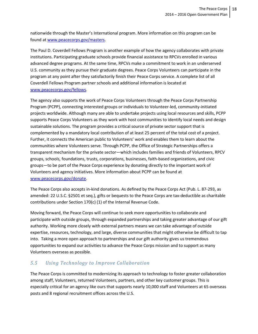nationwide through the Master's International program. More information on this program can be found a[t www.peacecorps.gov/masters.](http://www.peacecorps.gov/masters)

The Paul D. Coverdell Fellows Program is another example of how the agency collaborates with private institutions. Participating graduate schools provide financial assistance to RPCVs enrolled in various advanced degree programs. At the same time, RPCVs make a commitment to work in an underserved U.S. community as they pursue their graduate degrees. Peace Corps Volunteers can participate in the program at any point after they satisfactorily finish their Peace Corps service. A complete list of all Coverdell Fellows Program partner schools and additional information is located at [www.peacecorps.gov/fellows.](http://www.peacecorps.gov/fellows)

The agency also supports the work of Peace Corps Volunteers through the Peace Corps Partnership Program (PCPP), connecting interested groups or individuals to Volunteer-led, community-initiated projects worldwide. Although many are able to undertake projects using local resources and skills, PCPP supports Peace Corps Volunteers as they work with host communities to identify local needs and design sustainable solutions. The program provides a critical source of private sector support that is complemented by a mandatory local contribution of at least 25 percent of the total cost of a project. Further, it connects the American public to Volunteers' work and enables them to learn about the communities where Volunteers serve. Through PCPP, the Office of Strategic Partnerships offers a transparent mechanism for the private sector—which includes families and friends of Volunteers, RPCV groups, schools, foundations, trusts, corporations, businesses, faith-based organizations, and civic groups—to be part of the Peace Corps experience by donating directly to the important work of Volunteers and agency initiatives. More information about PCPP can be found at [www.peacecorps.gov/donate.](http://www.peacecorps.gov/donate)

The Peace Corps also accepts in-kind donations. As defined by the Peace Corps Act (Pub. L. 87-293, as amended: 22 U.S.C. §2501 et seq.), gifts or bequests to the Peace Corps are tax-deductible as charitable contributions under Section 170(c) (1) of the Internal Revenue Code.

Moving forward, the Peace Corps will continue to seek more opportunities to collaborate and participate with outside groups, through expanded partnerships and taking greater advantage of our gift authority. Working more closely with external partners means we can take advantage of outside expertise, resources, technology, and large, diverse communities that might otherwise be difficult to tap into. Taking a more open approach to partnerships and our gift authority gives us tremendous opportunities to expand our activities to advance the Peace Corps mission and to support as many Volunteers overseas as possible.

# *5.5 Using Technology to Improve Collaboration*

The Peace Corps is committed to modernizing its approach to technology to foster greater collaboration among staff, Volunteers, returned Volunteers, partners, and other key customer groups. This is especially critical for an agency like ours that supports nearly 10,000 staff and Volunteers at 65 overseas posts and 8 regional recruitment offices across the U.S.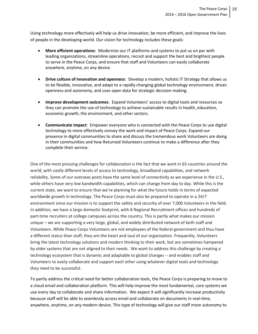Using technology more effectively will help us drive innovation, be more efficient, and improve the lives of people in the developing world. Our vision for technology includes these goals:

- **More efficient operations**: Modernize our IT platforms and systems to put us on par with leading organizations, streamline operations, recruit and support the best and brightest people to serve in the Peace Corps, and ensure that staff and Volunteers can easily collaborate anywhere, anytime, on any device.
- **Drive culture of innovation and openness**: Develop a modern, holistic IT Strategy that allows us to be flexible, innovative, and adapt to a rapidly changing global technology environment, drives openness and autonomy, and uses open data for strategic decision-making.
- **Improve development outcomes**: Expand Volunteers' access to digital tools and resources so they can promote the use of technology to achieve sustainable results in health, education, economic growth, the environment, and other sectors.
- **Communicate impact**: Empower everyone who is connected with the Peace Corps to use digital technology to more effectively convey the work and impact of Peace Corps. Expand our presence in digital communities to share and discuss the tremendous work Volunteers are doing in their communities and how Returned Volunteers continue to make a difference after they complete their service.

One of the most pressing challenges for collaboration is the fact that we work in 65 countries around the world, with vastly different levels of access to technology, broadband capabilities, and network reliability. Some of our overseas posts have the same level of connectivity as we experience in the U.S., while others have very low bandwidth capabilities, which can change from day to day. While this is the current state, we want to ensure that we're planning for what the future holds in terms of expected worldwide growth in technology. The Peace Corps must also be prepared to operate in a 24/7 environment since our mission is to support the safety and security of over 7,000 Volunteers in the field. In addition, we have a large domestic footprint, with 8 Regional Recruitment offices and hundreds of part-time recruiters at college campuses across the country. This is partly what makes our mission unique – we are supporting a very large, global, and widely distributed network of both staff and Volunteers. While Peace Corps Volunteers are not employees of the federal government and thus have a different status than staff, they are the heart and soul of our organization. Frequently, Volunteers bring the latest technology solutions and modern thinking to their work, but are sometimes hampered by older systems that are not aligned to their needs. We want to address this challenge by creating a technology ecosystem that is dynamic and adaptable to global changes -- and enables staff and Volunteers to easily collaborate and support each other using whatever digital tools and technology they need to be successful.

To partly address the critical need for better collaboration tools, the Peace Corps is preparing to move to a cloud email and collaboration platform. This will help improve the most fundamental, core systems we use every day to collaborate and share information. We expect it will significantly increase productivity because staff will be able to seamlessly access email and collaborate on documents in real-time, anywhere, anytime, on any modern device. This type of technology will give our staff more autonomy to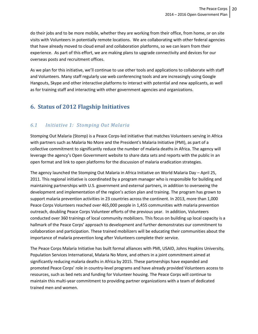do their jobs and to be more mobile, whether they are working from their office, from home, or on site visits with Volunteers in potentially remote locations. We are collaborating with other federal agencies that have already moved to cloud email and collaboration platforms, so we can learn from their experience. As part of this effort, we are making plans to upgrade connectivity and devices for our overseas posts and recruitment offices.

As we plan for this initiative, we'll continue to use other tools and applications to collaborate with staff and Volunteers. Many staff regularly use web conferencing tools and are increasingly using Google Hangouts, Skype and other interactive platforms to interact with potential and new applicants, as well as for training staff and interacting with other government agencies and organizations.

# **6. Status of 2012 Flagship Initiatives**

# *6.1 Initiative 1: Stomping Out Malaria*

Stomping Out Malaria (Stomp) is a Peace Corps-led initiative that matches Volunteers serving in Africa with partners such as Malaria No More and the President's Malaria Initiative (PMI), as part of a collective commitment to significantly reduce the number of malaria deaths in Africa. The agency will leverage the agency's Open Government website to share data sets and reports with the public in an open format and link to open platforms for the discussion of malaria eradication strategies.

The agency launched the Stomping Out Malaria in Africa Initiative on World Malaria Day – April 25, 2011. This regional initiative is coordinated by a program manager who is responsible for building and maintaining partnerships with U.S. government and external partners, in addition to overseeing the development and implementation of the region's action plan and training. The program has grown to support malaria prevention activities in 23 countries across the continent. In 2013, more than 1,000 Peace Corps Volunteers reached over 465,000 people in 1,455 communities with malaria prevention outreach, doubling Peace Corps Volunteer efforts of the previous year. In addition, Volunteers conducted over 360 trainings of local community mobilizers. This focus on building up local capacity is a hallmark of the Peace Corps' approach to development and further demonstrates our commitment to collaboration and participation. These trained mobilizers will be educating their communities about the importance of malaria prevention long after Volunteers complete their service.

The Peace Corps Malaria Initiative has built formal alliances with PMI, USAID, Johns Hopkins University, Population Services International, Malaria No More, and others in a joint commitment aimed at significantly reducing malaria deaths in Africa by 2015. These partnerships have expanded and promoted Peace Corps' role in country-level programs and have already provided Volunteers access to resources, such as bed nets and funding for Volunteer housing. The Peace Corps will continue to maintain this multi-year commitment to providing partner organizations with a team of dedicated trained men and women.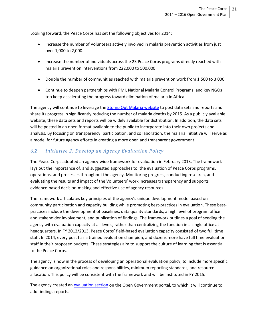Looking forward, the Peace Corps has set the following objectives for 2014:

- Increase the number of Volunteers actively involved in malaria prevention activities from just over 1,000 to 2,000.
- Increase the number of individuals across the 23 Peace Corps programs directly reached with malaria prevention interventions from 222,000 to 500,000.
- Double the number of communities reached with malaria prevention work from 1,500 to 3,000.
- Continue to deepen partnerships with PMI, National Malaria Control Programs, and key NGOs too keep accelerating the progress toward elimination of malaria in Africa.

The agency will continue to leverage the [Stomp Out Malaria](http://stompoutmalaria.org/) website to post data sets and reports and share its progress in significantly reducing the number of malaria deaths by 2015. As a publicly available website, these data sets and reports will be widely available for distribution. In addition, the data sets will be posted in an open format available to the public to incorporate into their own projects and analysis. By focusing on transparency, participation, and collaboration, the malaria initiative will serve as a model for future agency efforts in creating a more open and transparent government.

# *6.2 Initiative 2: Develop an Agency Evaluation Policy*

The Peace Corps adopted an agency-wide framework for evaluation in February 2013. The framework lays out the importance of, and suggested approaches to, the evaluation of Peace Corps programs, operations, and processes throughout the agency. Monitoring progress, conducting research, and evaluating the results and impact of the Volunteers' work increases transparency and supports evidence-based decision-making and effective use of agency resources.

The framework articulates key principles of the agency's unique development model based on community participation and capacity building while promoting best-practices in evaluation. These bestpractices include the development of baselines, data quality standards, a high level of program office and stakeholder involvement, and publication of findings. The framework outlines a goal of seeding the agency with evaluation capacity at all levels, rather than centralizing the function in a single office at headquarters. In FY 2012/2013, Peace Corps' field-based evaluation capacity consisted of two full time staff. In 2014, every post has a trained evaluation champion, and dozens more have full time evaluation staff in their proposed budgets. These strategies aim to support the culture of learning that is essential to the Peace Corps.

The agency is now in the process of developing an operational evaluation policy, to include more specific guidance on organizational roles and responsibilities, minimum reporting standards, and resource allocation. This policy will be consistent with the framework and will be instituted in FY 2015.

The agency created an [evaluation section](http://www.peacecorps.gov/about/open/evaluations/) on the Open Government portal, to which it will continue to add findings reports.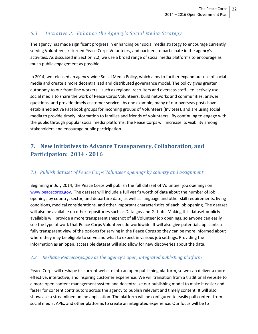# *6.3 Initiative 3: Enhance the Agency's Social Media Strategy*

The agency has made significant progress in enhancing our social media strategy to encourage currently serving Volunteers, returned Peace Corps Volunteers, and partners to participate in the agency's activities. As discussed in Section 2.2, we use a broad range of social media platforms to encourage as much public engagement as possible.

In 2014, we released an agency-wide Social Media Policy, which aims to further expand our use of social media and create a more decentralized and distributed governance model. The policy gives greater autonomy to our front-line workers—such as regional recruiters and overseas staff—to actively use social media to share the work of Peace Corps Volunteers, build networks and communities, answer questions, and provide timely customer service. As one example, many of our overseas posts have established active Facebook groups for incoming groups of Volunteers (Invitees), and are using social media to provide timely information to families and friends of Volunteers. By continuing to engage with the public through popular social media platforms, the Peace Corps will increase its visibility among stakeholders and encourage public participation.

# **7. New Initiatives to Advance Transparency, Collaboration, and Participation: 2014 - 2016**

## *7.1. Publish dataset of Peace Corps Volunteer openings by country and assignment*

Beginning in July 2014, the Peace Corps will publish the full dataset of Volunteer job openings on [www.peacecorps.gov.](http://www.peacecorps.gov/) The dataset will include a full year's worth of data about the number of job openings by country, sector, and departure date, as well as language and other skill requirements, living conditions, medical considerations, and other important characteristics of each job opening. The dataset will also be available on other repositories such as Data.gov and Github. Making this dataset publicly available will provide a more transparent snapshot of all Volunteer job openings, so anyone can easily see the type of work that Peace Corps Volunteers do worldwide. It will also give potential applicants a fully transparent view of the options for serving in the Peace Corps so they can be more informed about where they may be eligible to serve and what to expect in various job settings. Providing the information as an open, accessible dataset will also allow for new discoveries about the data.

### *7.2 Reshape Peacecorps.gov as the agency's open, integrated publishing platform*

Peace Corps will reshape its current website into an open publishing platform, so we can deliver a more effective, interactive, and inspiring customer experience. We will transition from a traditional website to a more open content management system and decentralize our publishing model to make it easier and faster for content contributors across the agency to publish relevant and timely content. It will also showcase a streamlined online application. The platform will be configured to easily pull content from social media, APIs, and other platforms to create an integrated experience. Our focus will be to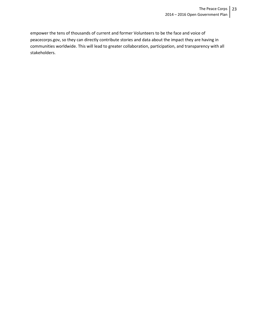empower the tens of thousands of current and former Volunteers to be the face and voice of peacecorps.gov, so they can directly contribute stories and data about the impact they are having in communities worldwide. This will lead to greater collaboration, participation, and transparency with all stakeholders.